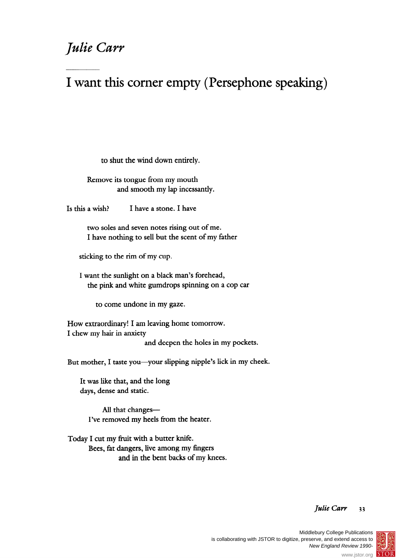## **Julie Carr**

## **I want this corner empty (Persephone speaking)**

**to shut the wind down entirely.** 

**Remove its tongue from my mouth and smooth my lap incessantly.** 

**Is this a wish? I have a stone. I have** 

**two soles and seven notes rising out of me. I have nothing to sell but the scent of my father** 

**sticking to the rim of my cup.** 

**I want the sunlight on a black man's forehead, the pink and white gumdrops spinning on a cop car** 

**to come undone in my gaze.** 

**How extraordinary! I am leaving home tomorrow. I chew my hair in anxiety and deepen the holes in my pockets.** 

But mother, I taste you-your slipping nipple's lick in my cheek.

**It was like that, and the long days, dense and static.** 

All that changes-**I've removed my heels from the heater.** 

**Today I cut my fruit with a butter knife. Bees, fat dangers, live among my fingers and in the bent backs of my knees.** 

## **Julie Carr 33**



®